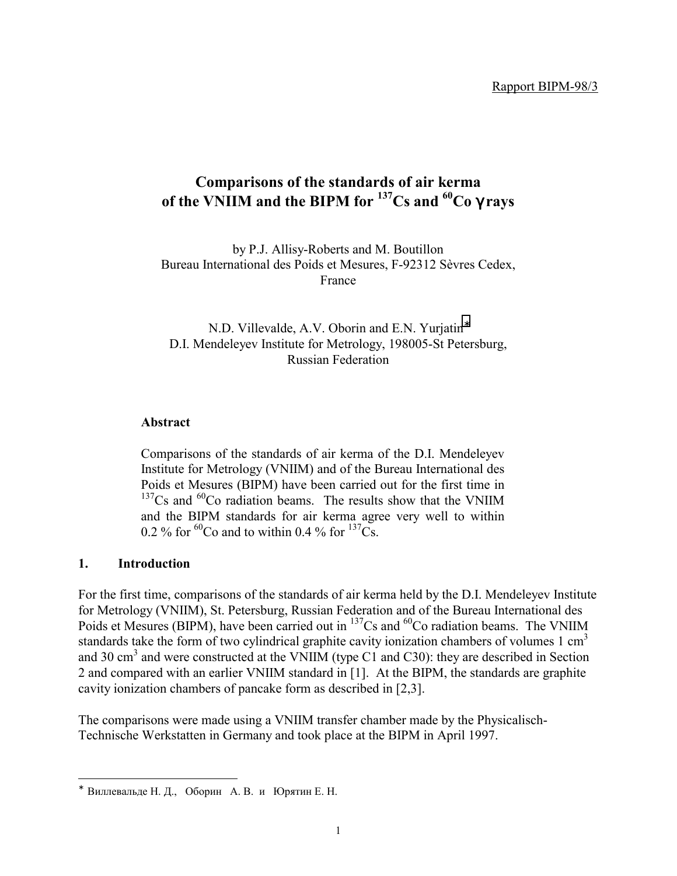# **Comparisons of the standards of air kerma of the VNIIM and the BIPM for 137Cs and 60Co** γ **rays**

by P.J. Allisy-Roberts and M. Boutillon Bureau International des Poids et Mesures, F-92312 Sèvres Cedex, France

N.D. Villevalde, A.V. Oborin and E.N. Yurjatin<sup>®</sup> D.I. Mendeleyev Institute for Metrology, 198005-St Petersburg, Russian Federation

#### **Abstract**

Comparisons of the standards of air kerma of the D.I. Mendeleyev Institute for Metrology (VNIIM) and of the Bureau International des Poids et Mesures (BIPM) have been carried out for the first time in  $137Cs$  and  $60Co$  radiation beams. The results show that the VNIIM and the BIPM standards for air kerma agree very well to within 0.2 % for <sup>60</sup>Co and to within 0.4 % for <sup>137</sup>Cs.

#### **1. Introduction**

-

For the first time, comparisons of the standards of air kerma held by the D.I. Mendeleyev Institute for Metrology (VNIIM), St. Petersburg, Russian Federation and of the Bureau International des Poids et Mesures (BIPM), have been carried out in <sup>137</sup>Cs and <sup>60</sup>Co radiation beams. The VNIIM standards take the form of two cylindrical graphite cavity ionization chambers of volumes  $1 \text{ cm}^3$ and 30 cm<sup>3</sup> and were constructed at the VNIIM (type C1 and C30): they are described in Section 2 and compared with an earlier VNIIM standard in [1]. At the BIPM, the standards are graphite cavity ionization chambers of pancake form as described in [2,3].

The comparisons were made using a VNIIM transfer chamber made by the Physicalisch-Technische Werkstatten in Germany and took place at the BIPM in April 1997.

<sup>∗</sup> Bиллевальде Н. Д., Оборин А. В. и Юрятин Е. Н.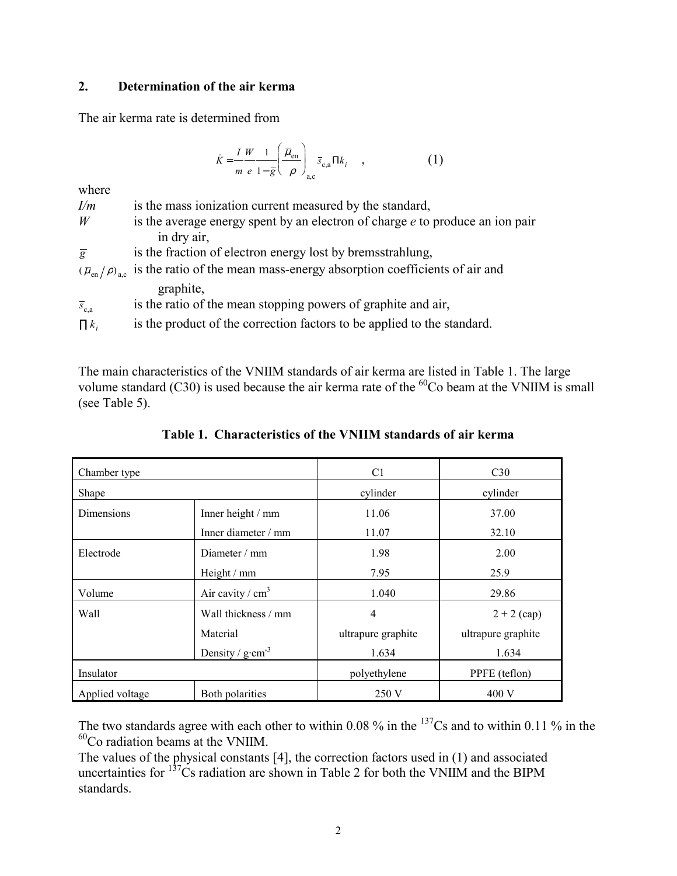#### **2. Determination of the air kerma**

The air kerma rate is determined from

$$
\dot{K} = \frac{I W}{m e} \frac{1}{1 - \bar{g}} \left( \frac{\overline{\mu}_{en}}{\rho} \right)_{a,c} \overline{s}_{c,a} \Pi k_i \quad , \tag{1}
$$

where

| I/m                  | is the mass ionization current measured by the standard,                                                  |
|----------------------|-----------------------------------------------------------------------------------------------------------|
| W                    | is the average energy spent by an electron of charge $e$ to produce an ion pair                           |
|                      | in dry air,                                                                                               |
| $\overline{g}$       | is the fraction of electron energy lost by bremsstrahlung,                                                |
|                      | $(\overline{\mu}_{en}/\rho)_{ac}$ is the ratio of the mean mass-energy absorption coefficients of air and |
|                      | graphite,                                                                                                 |
| $\overline{s}_{c,a}$ | is the ratio of the mean stopping powers of graphite and air,                                             |
| $\prod k_i$          | is the product of the correction factors to be applied to the standard.                                   |

The main characteristics of the VNIIM standards of air kerma are listed in Table 1. The large volume standard (C30) is used because the air kerma rate of the  ${}^{60}$ Co beam at the VNIIM is small (see Table 5).

| Chamber type      |                                 | C <sub>1</sub>     | C30                |  |
|-------------------|---------------------------------|--------------------|--------------------|--|
| Shape             |                                 | cylinder           | cylinder           |  |
| <b>Dimensions</b> | Inner height / mm               | 11.06              | 37.00              |  |
|                   | Inner diameter / mm             | 11.07              | 32.10              |  |
| Electrode         | Diameter $/mm$                  | 1.98               | 2.00               |  |
|                   | Height / mm                     | 7.95               | 25.9               |  |
| Volume            | Air cavity / $cm3$              | 1.040              | 29.86              |  |
| Wall              | Wall thickness / mm             | $\overline{4}$     | $2 + 2$ (cap)      |  |
|                   | Material                        | ultrapure graphite | ultrapure graphite |  |
|                   | Density / $g$ ·cm <sup>-3</sup> | 1.634              | 1.634              |  |
| Insulator         |                                 | polyethylene       | PPFE (teflon)      |  |
| Applied voltage   | Both polarities                 | 250 V              | 400 V              |  |

**Table 1. Characteristics of the VNIIM standards of air kerma**

The two standards agree with each other to within 0.08 % in the <sup>137</sup>Cs and to within 0.11 % in the 60Co radiation beams at the VNIIM.

The values of the physical constants [4], the correction factors used in (1) and associated uncertainties for  $137$ Cs radiation are shown in Table 2 for both the VNIIM and the BIPM standards.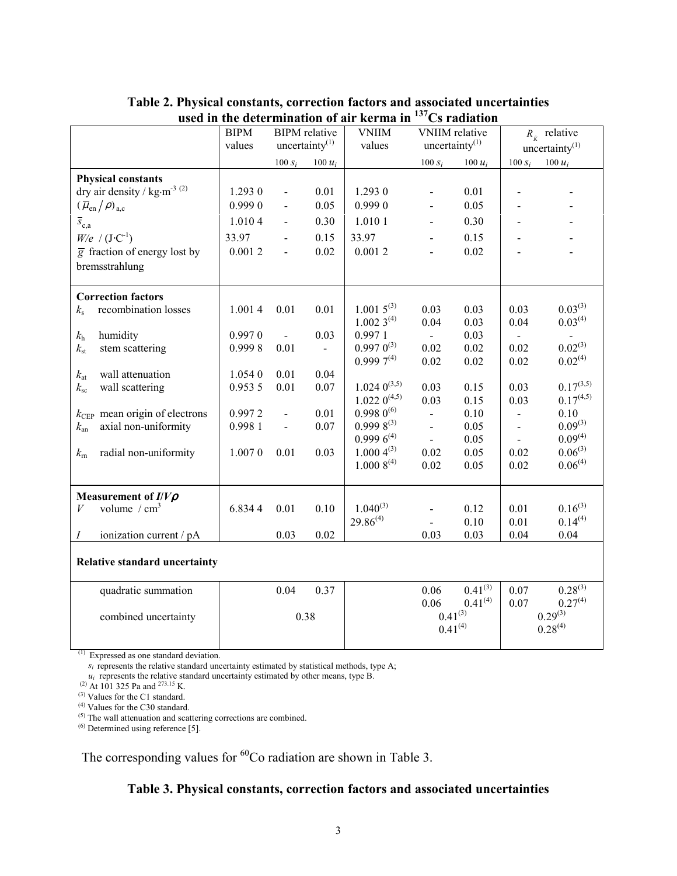|                                                            | <b>BIPM</b><br><b>BIPM</b> relative<br>uncertainty $(1)$ |                          | <b>VNIIM</b>   | <b>VNIIM</b> relative<br>uncertainty $(1)$ |                          | $R_{\dot{k}}$ relative |                          |                              |
|------------------------------------------------------------|----------------------------------------------------------|--------------------------|----------------|--------------------------------------------|--------------------------|------------------------|--------------------------|------------------------------|
|                                                            | values                                                   |                          |                | values                                     |                          |                        |                          | uncertainty $^{(1)}$         |
|                                                            |                                                          | $100 s_i$                | 100 $u_i$      |                                            | $100 s_i$                | 100 $u_i$              | $100 s_i$                | 100 $u_i$                    |
| <b>Physical constants</b>                                  |                                                          |                          |                |                                            |                          |                        |                          |                              |
| dry air density / $\text{kg}\cdot\text{m}^{\text{-3}~(2)}$ | 1.2930                                                   | $\overline{a}$           | 0.01           | 1.293 0                                    |                          | 0.01                   |                          |                              |
| $(\overline{\mu}_{en}/\rho)_{a,c}$                         | 0.9990                                                   | $\overline{\phantom{a}}$ | 0.05           | 0.999 0                                    | $\blacksquare$           | 0.05                   |                          |                              |
| $\overline{s}_{c,a}$                                       | 1.0104                                                   | $\overline{\phantom{0}}$ | 0.30           | 1.010 1                                    | $\frac{1}{2}$            | 0.30                   |                          |                              |
| $W/e$ / $(J \cdot C^{-1})$                                 | 33.97                                                    | $\frac{1}{2}$            | 0.15           | 33.97                                      | $\overline{\phantom{a}}$ | 0.15                   |                          |                              |
| $\overline{g}$ fraction of energy lost by                  | 0.0012                                                   | $\blacksquare$           | 0.02           | 0.0012                                     | $\blacksquare$           | 0.02                   |                          |                              |
| bremsstrahlung                                             |                                                          |                          |                |                                            |                          |                        |                          |                              |
| <b>Correction factors</b>                                  |                                                          |                          |                |                                            |                          |                        |                          |                              |
| recombination losses<br>$k_{\rm s}$                        | 1.0014                                                   | 0.01                     | 0.01           | $1.0015^{(3)}$                             | 0.03                     | 0.03                   | 0.03                     | $0.03^{(3)}$                 |
|                                                            |                                                          |                          |                | $1.0023^{(4)}$                             | 0.04                     | 0.03                   | 0.04                     | $0.03^{(4)}$                 |
| humidity<br>$k_{\rm h}$                                    | 0.9970                                                   | $\sim$                   | 0.03           | 0.9971                                     | $\equiv$                 | 0.03                   | $\overline{\phantom{a}}$ | $\omega$                     |
| stem scattering<br>$k_{\rm st}$                            | 0.9998                                                   | 0.01                     | $\blacksquare$ | $0.9970^{(3)}$                             | 0.02                     | 0.02                   | 0.02                     | $0.02^{(3)}$                 |
|                                                            |                                                          |                          |                | $0.9997^{(4)}$                             | 0.02                     | 0.02                   | 0.02                     | 0.02 <sup>(4)</sup>          |
| wall attenuation<br>$k_{\rm at}$                           | 1.0540                                                   | 0.01                     | 0.04           |                                            |                          |                        |                          |                              |
| wall scattering<br>$k_{\rm sc}$                            | 0.953 5                                                  | 0.01                     | 0.07           | $1.024~0^{(3,5)}$                          | 0.03                     | 0.15                   | 0.03                     | $0.17^{(3,5)}$               |
|                                                            |                                                          |                          |                | $1.022~0^{(4,5)}$                          | 0.03                     | 0.15                   | 0.03                     | 0.17(4.5)                    |
| $k_{\text{CEP}}$ mean origin of electrons                  | 0.9972                                                   | $\overline{a}$           | 0.01           | $0.998\ 0^{(6)}$                           | $\blacksquare$           | 0.10                   | $\overline{a}$           | 0.10                         |
| axial non-uniformity<br>$k_{\rm an}$                       | 0.9981                                                   | $\blacksquare$           | 0.07           | $0.9998^{(3)}$<br>$0.9996^{(4)}$           | $\blacksquare$           | 0.05                   | $\overline{\phantom{a}}$ | $0.09^{(3)}$<br>$0.09^{(4)}$ |
|                                                            |                                                          |                          |                | $1.0004^{(3)}$                             | $\mathbf{r}$             | 0.05                   |                          | $0.06^{(3)}$                 |
| radial non-uniformity<br>$k_{\rm rh}$                      | 1.0070                                                   | 0.01                     | 0.03           | $1.0008^{(4)}$                             | 0.02                     | 0.05                   | 0.02                     | $0.06^{(4)}$                 |
|                                                            |                                                          |                          |                |                                            | 0.02                     | 0.05                   | 0.02                     |                              |
| Measurement of $I/V\rho$                                   |                                                          |                          |                |                                            |                          |                        |                          |                              |
| volume / $cm3$<br>V                                        | 6.8344                                                   | 0.01                     | 0.10           | $1.040^{(3)}$                              |                          | 0.12                   | 0.01                     | $0.16^{(3)}$                 |
|                                                            |                                                          |                          |                | $29.86^{(4)}$                              |                          | 0.10                   | 0.01                     | $0.14^{(4)}$                 |
| ionization current / pA<br>Ι                               |                                                          | 0.03                     | 0.02           |                                            | 0.03                     | 0.03                   | 0.04                     | 0.04                         |
| <b>Relative standard uncertainty</b>                       |                                                          |                          |                |                                            |                          |                        |                          |                              |
| quadratic summation                                        |                                                          | 0.04                     | 0.37           |                                            | 0.06                     | $0.41^{(3)}$           | 0.07                     | $0.28^{(3)}$                 |
|                                                            |                                                          |                          |                |                                            | 0.06<br>$0.41^{(3)}$     | $0.41^{(4)}$           | 0.07                     | $0.27^{(4)}$<br>$0.29^{(3)}$ |
| combined uncertainty                                       |                                                          |                          | 0.38           |                                            | $0.41^{(4)}$             |                        |                          | $0.28^{(4)}$                 |
|                                                            |                                                          |                          |                |                                            |                          |                        |                          |                              |

**Table 2. Physical constants, correction factors and associated uncertainties used in the determination of air kerma in 137Cs radiation**

(1) Expressed as one standard deviation.

 $s_i$  represents the relative standard uncertainty estimated by statistical methods, type A;

 $u_i$  represents the relative standard uncertainty estimated by other means, type B.

<sup>(2)</sup> At 101 325 Pa and <sup>273.15</sup> K.

(3) Values for the C1 standard.

(4) Values for the C30 standard.

 $<sup>(5)</sup>$  The wall attenuation and scattering corrections are combined.</sup>

(6) Determined using reference [5].

The corresponding values for  ${}^{60}$ Co radiation are shown in Table 3.

## **Table 3. Physical constants, correction factors and associated uncertainties**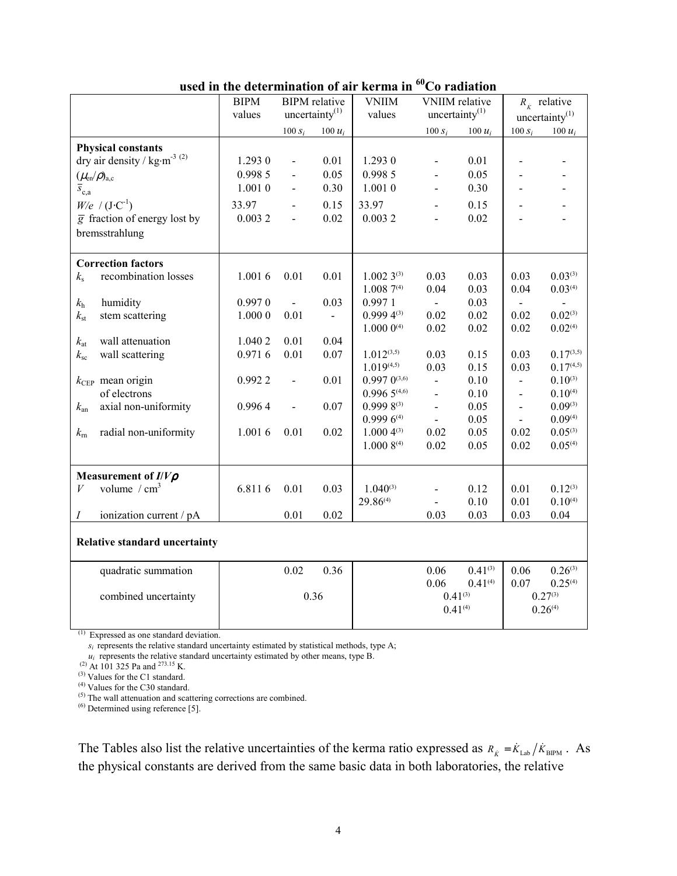|                                                            | <b>BIPM</b><br><b>BIPM</b> relative |                          | <b>VNIIM</b>      | <b>VNIIM</b> relative |                          | $R_{\dot{k}}$ relative |                          |                   |
|------------------------------------------------------------|-------------------------------------|--------------------------|-------------------|-----------------------|--------------------------|------------------------|--------------------------|-------------------|
|                                                            | values                              |                          | uncertainty $(1)$ | values                | uncertainty $(1)$        |                        |                          | uncertainty $(1)$ |
|                                                            |                                     | $100 s_i$                | $100 u_i$         |                       | 100 $s_i$                | 100 $u_i$              | $100 s_i$                | 100 $u_i$         |
| <b>Physical constants</b>                                  |                                     |                          |                   |                       |                          |                        |                          |                   |
| dry air density / $\text{kg}\cdot\text{m}^{\text{-3}~(2)}$ | 1.2930                              | $\overline{a}$           | 0.01              | 1.2930                | $\overline{a}$           | 0.01                   |                          |                   |
| $(\mu_{en}/\rho)_{a,c}$                                    | 0.998 5                             | $\overline{\phantom{a}}$ | 0.05              | 0.998 5               | $\overline{a}$           | 0.05                   |                          |                   |
| $\bar{s}_{c,a}$                                            | 1.0010                              | $\overline{a}$           | 0.30              | 1.0010                | $\overline{a}$           | 0.30                   | $\blacksquare$           |                   |
| $W/e$ / $(J \cdot C^{-1})$                                 | 33.97                               | $\blacksquare$           | 0.15              | 33.97                 | $\overline{\phantom{0}}$ | 0.15                   | $\blacksquare$           |                   |
| $\overline{g}$ fraction of energy lost by                  | 0.0032                              | $\overline{\phantom{a}}$ | 0.02              | 0.0032                | $\overline{a}$           | 0.02                   |                          |                   |
| bremsstrahlung                                             |                                     |                          |                   |                       |                          |                        |                          |                   |
|                                                            |                                     |                          |                   |                       |                          |                        |                          |                   |
| <b>Correction factors</b>                                  |                                     |                          |                   |                       |                          |                        |                          |                   |
| recombination losses<br>$k_{\rm s}$                        | 1.0016                              | 0.01                     | 0.01              | $1.0023^{(3)}$        | 0.03                     | 0.03                   | 0.03                     | $0.03^{(3)}$      |
|                                                            |                                     |                          |                   | $1.0087^{(4)}$        | 0.04                     | 0.03                   | 0.04                     | 0.03(4)           |
| humidity<br>$k_{\rm h}$                                    | 0.9970                              | $\blacksquare$           | 0.03              | 0.997 1               | $\omega$                 | 0.03                   | $\blacksquare$           |                   |
| stem scattering<br>$k_{\rm st}$                            | 1.0000                              | 0.01                     | $\blacksquare$    | $0.9994^{(3)}$        | 0.02                     | 0.02                   | 0.02                     | $0.02^{(3)}$      |
|                                                            |                                     |                          |                   | $1.000~0^{(4)}$       | 0.02                     | 0.02                   | 0.02                     | $0.02^{(4)}$      |
| $k_{\rm at}$<br>wall attenuation                           | 1.040 2                             | 0.01                     | 0.04              |                       |                          |                        |                          |                   |
| wall scattering<br>$k_{\rm sc}$                            | 0.9716                              | 0.01                     | 0.07              | $1.012^{(3,5)}$       | 0.03                     | 0.15                   | 0.03                     | $0.17^{(3,5)}$    |
|                                                            |                                     |                          |                   | 1.019(4,5)            | 0.03                     | 0.15                   | 0.03                     | 0.17(4.5)         |
| $k_{\text{CEP}}$ mean origin                               | 0.9922                              | $\overline{a}$           | 0.01              | $0.997~0^{(3,6)}$     | $\blacksquare$           | 0.10                   | $\overline{\phantom{a}}$ | $0.10^{(3)}$      |
| of electrons                                               |                                     |                          |                   | 0.9965(4,6)           | $\overline{\phantom{a}}$ | 0.10                   | $\blacksquare$           | $0.10^{(4)}$      |
| axial non-uniformity<br>$k_{\rm an}$                       | 0.9964                              | $\overline{\phantom{0}}$ | 0.07              | $0.9998^{(3)}$        | $\blacksquare$           | 0.05                   | $\blacksquare$           | $0.09^{(3)}$      |
|                                                            |                                     |                          |                   | $0.9996^{(4)}$        | $\blacksquare$           | 0.05                   | $\blacksquare$           | $0.09^{(4)}$      |
| radial non-uniformity<br>$k_{\rm rn}$                      | 1.0016                              | 0.01                     | 0.02              | $1.0004^{(3)}$        | 0.02                     | 0.05                   | 0.02                     | $0.05^{(3)}$      |
|                                                            |                                     |                          |                   | $1.0008^{(4)}$        | 0.02                     | 0.05                   | 0.02                     | 0.05(4)           |
|                                                            |                                     |                          |                   |                       |                          |                        |                          |                   |
| Measurement of $I/V\rho$                                   |                                     |                          |                   |                       |                          |                        |                          |                   |
| volume / $cm3$<br>$\boldsymbol{V}$                         | 6.8116                              | 0.01                     | 0.03              | $1.040^{(3)}$         | $\overline{a}$           | 0.12                   | 0.01                     | $0.12^{(3)}$      |
|                                                            |                                     |                          |                   | $29.86^{(4)}$         | $\overline{a}$           | 0.10                   | 0.01                     | $0.10^{(4)}$      |
| ionization current / pA<br>Ι                               |                                     | 0.01                     | 0.02              |                       | 0.03                     | 0.03                   | 0.03                     | 0.04              |
|                                                            |                                     |                          |                   |                       |                          |                        |                          |                   |
| <b>Relative standard uncertainty</b>                       |                                     |                          |                   |                       |                          |                        |                          |                   |
| quadratic summation                                        |                                     | 0.02                     | 0.36              |                       | 0.06                     | $0.41^{(3)}$           | 0.06                     | $0.26^{(3)}$      |
|                                                            |                                     |                          |                   |                       | 0.06                     | 0.41(4)                | 0.07                     | 0.25(4)           |
| combined uncertainty                                       |                                     |                          | 0.36              |                       | $0.41^{(3)}$             |                        |                          | $0.27^{(3)}$      |
|                                                            |                                     |                          |                   |                       | $0.41^{(4)}$             |                        |                          | $0.26^{(4)}$      |
|                                                            |                                     |                          |                   |                       |                          |                        |                          |                   |

**used in the determination of air kerma in 60Co radiation**

(1) Expressed as one standard deviation.

 $s_i$  represents the relative standard uncertainty estimated by statistical methods, type A;

 $u_i$  represents the relative standard uncertainty estimated by other means, type B.

(2) At 101 325 Pa and 273.15 K.

(3) Values for the C1 standard.

(4) Values for the C30 standard.

(5) The wall attenuation and scattering corrections are combined.

 $(6)$  Determined using reference [5].

The Tables also list the relative uncertainties of the kerma ratio expressed as  $R_{\kappa} = \dot{K}_{Lab}/\dot{K}_{BIPM}$ . As the physical constants are derived from the same basic data in both laboratories, the relative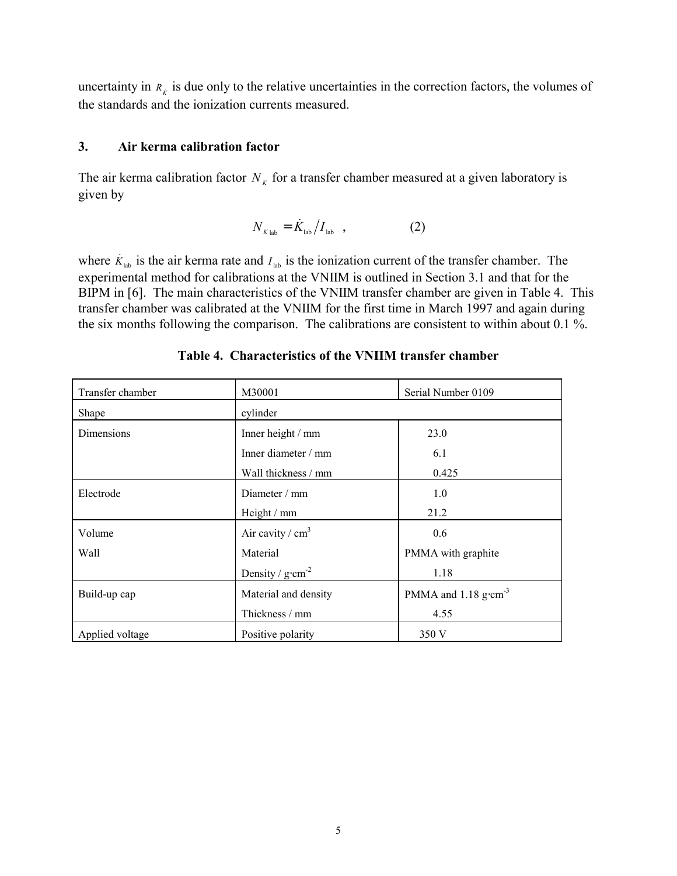uncertainty in  $R_k$  is due only to the relative uncertainties in the correction factors, the volumes of the standards and the ionization currents measured.

### **3. Air kerma calibration factor**

The air kerma calibration factor  $N_k$  for a transfer chamber measured at a given laboratory is given by

$$
N_{K_{\text{lab}}} = \dot{K}_{\text{lab}} / I_{\text{lab}} \quad , \tag{2}
$$

where  $\dot{K}_{\text{lab}}$  is the air kerma rate and  $I_{\text{lab}}$  is the ionization current of the transfer chamber. The experimental method for calibrations at the VNIIM is outlined in Section 3.1 and that for the BIPM in [6]. The main characteristics of the VNIIM transfer chamber are given in Table 4. This transfer chamber was calibrated at the VNIIM for the first time in March 1997 and again during the six months following the comparison. The calibrations are consistent to within about 0.1 %.

| Transfer chamber | M30001                      | Serial Number 0109                 |
|------------------|-----------------------------|------------------------------------|
| Shape            | cylinder                    |                                    |
| Dimensions       | Inner height / mm           | 23.0                               |
|                  | Inner diameter $/mm$        | 6.1                                |
|                  | Wall thickness / mm         | 0.425                              |
| Electrode        | Diameter $/$ mm             | 1.0                                |
|                  | Height / mm                 | 21.2                               |
| Volume           | Air cavity / $cm3$          | 0.6                                |
| Wall             | Material                    | PMMA with graphite                 |
|                  | Density / $g \cdot cm^{-2}$ | 1.18                               |
| Build-up cap     | Material and density        | PMMA and $1.18$ g·cm <sup>-3</sup> |
|                  | Thickness / mm              | 4.55                               |
| Applied voltage  | Positive polarity           | 350 V                              |

## **Table 4. Characteristics of the VNIIM transfer chamber**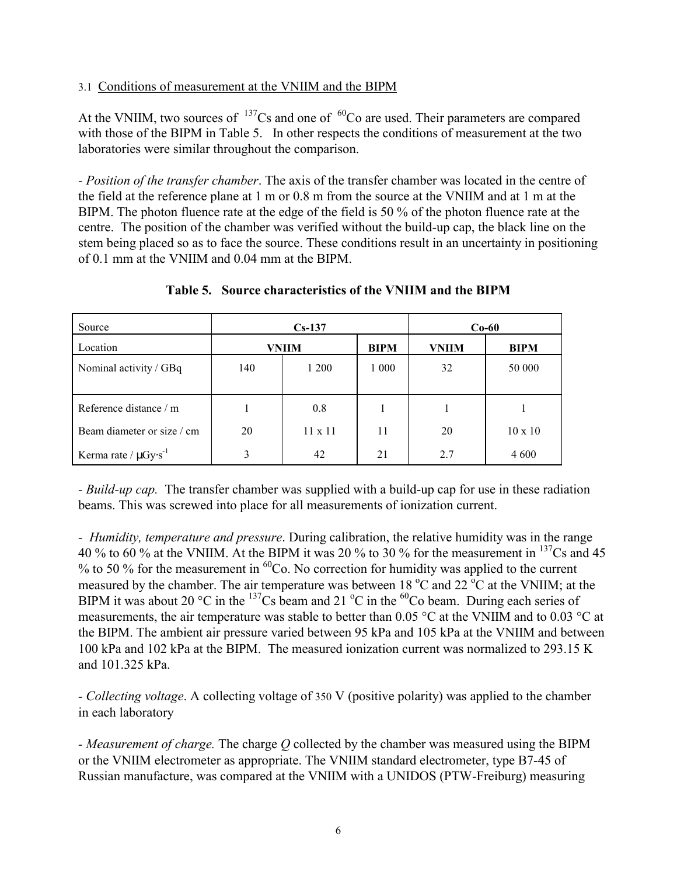#### 3.1 Conditions of measurement at the VNIIM and the BIPM

At the VNIIM, two sources of  $137Cs$  and one of  $60Co$  are used. Their parameters are compared with those of the BIPM in Table 5. In other respects the conditions of measurement at the two laboratories were similar throughout the comparison.

*- Position of the transfer chamber*. The axis of the transfer chamber was located in the centre of the field at the reference plane at 1 m or 0.8 m from the source at the VNIIM and at 1 m at the BIPM. The photon fluence rate at the edge of the field is 50 % of the photon fluence rate at the centre. The position of the chamber was verified without the build-up cap, the black line on the stem being placed so as to face the source. These conditions result in an uncertainty in positioning of 0.1 mm at the VNIIM and 0.04 mm at the BIPM.

| Source                                |     | $Cs-137$       | $Co-60$     |              |                |
|---------------------------------------|-----|----------------|-------------|--------------|----------------|
| Location                              |     | VNIIM          | <b>BIPM</b> | <b>VNIIM</b> | <b>BIPM</b>    |
| Nominal activity / GBq                | 140 | 1 200          | 1 000       | 32           | 50 000         |
| Reference distance / m                |     | 0.8            |             |              |                |
| Beam diameter or size / cm            | 20  | $11 \times 11$ | 11          | 20           | $10 \times 10$ |
| Kerma rate / $\mu$ Gy·s <sup>-1</sup> | 3   | 42             | 21          | 2.7          | 4 600          |

#### **Table 5. Source characteristics of the VNIIM and the BIPM**

*- Build-up cap.* The transfer chamber was supplied with a build-up cap for use in these radiation beams. This was screwed into place for all measurements of ionization current.

*- Humidity, temperature and pressure*. During calibration, the relative humidity was in the range 40 % to 60 % at the VNIIM. At the BIPM it was 20 % to 30 % for the measurement in 137Cs and 45 % to 50 % for the measurement in  ${}^{60}Co$ . No correction for humidity was applied to the current measured by the chamber. The air temperature was between 18  $^{\circ}$ C and 22  $^{\circ}$ C at the VNIIM; at the BIPM it was about 20 °C in the  $^{137}$ Cs beam and 21 °C in the <sup>60</sup>Co beam. During each series of measurements, the air temperature was stable to better than 0.05 °C at the VNIIM and to 0.03 °C at the BIPM. The ambient air pressure varied between 95 kPa and 105 kPa at the VNIIM and between 100 kPa and 102 kPa at the BIPM. The measured ionization current was normalized to 293.15 K and 101.325 kPa.

*- Collecting voltage*. A collecting voltage of 350 V (positive polarity) was applied to the chamber in each laboratory

*- Measurement of charge.* The charge *Q* collected by the chamber was measured using the BIPM or the VNIIM electrometer as appropriate. The VNIIM standard electrometer, type B7-45 of Russian manufacture, was compared at the VNIIM with a UNIDOS (PTW-Freiburg) measuring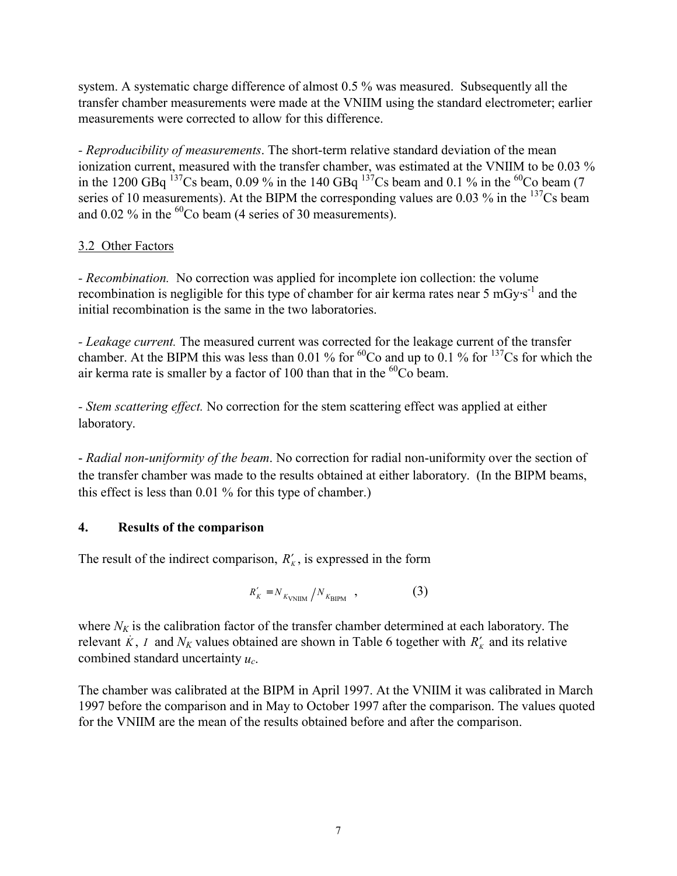system. A systematic charge difference of almost 0.5 % was measured. Subsequently all the transfer chamber measurements were made at the VNIIM using the standard electrometer; earlier measurements were corrected to allow for this difference.

*- Reproducibility of measurements*. The short-term relative standard deviation of the mean ionization current, measured with the transfer chamber, was estimated at the VNIIM to be 0.03 % in the 1200 GBq  $^{137}$ Cs beam, 0.09 % in the 140 GBq  $^{137}$ Cs beam and 0.1 % in the <sup>60</sup>Co beam (7 series of 10 measurements). At the BIPM the corresponding values are 0.03 % in the  $^{137}Cs$  beam and  $0.02\%$  in the <sup>60</sup>Co beam (4 series of 30 measurements).

## 3.2 Other Factors

*- Recombination.* No correction was applied for incomplete ion collection: the volume recombination is negligible for this type of chamber for air kerma rates near 5 mGy⋅s<sup>-1</sup> and the initial recombination is the same in the two laboratories.

*- Leakage current.* The measured current was corrected for the leakage current of the transfer chamber. At the BIPM this was less than 0.01 % for  ${}^{60}Co$  and up to 0.1 % for  ${}^{137}Cs$  for which the air kerma rate is smaller by a factor of 100 than that in the  ${}^{60}Co$  beam.

*- Stem scattering effect.* No correction for the stem scattering effect was applied at either laboratory.

- *Radial non-uniformity of the beam*. No correction for radial non-uniformity over the section of the transfer chamber was made to the results obtained at either laboratory. (In the BIPM beams, this effect is less than 0.01 % for this type of chamber.)

## **4. Results of the comparison**

The result of the indirect comparison,  $R'_{k}$ , is expressed in the form

$$
R'_{K} = N_{K_{\text{VNIIM}}} / N_{K_{\text{BIPM}}} \quad , \tag{3}
$$

where  $N_K$  is the calibration factor of the transfer chamber determined at each laboratory. The relevant  $\hat{K}$ , *I* and  $N_K$  values obtained are shown in Table 6 together with  $R'_K$  and its relative combined standard uncertainty *uc*.

The chamber was calibrated at the BIPM in April 1997. At the VNIIM it was calibrated in March 1997 before the comparison and in May to October 1997 after the comparison. The values quoted for the VNIIM are the mean of the results obtained before and after the comparison.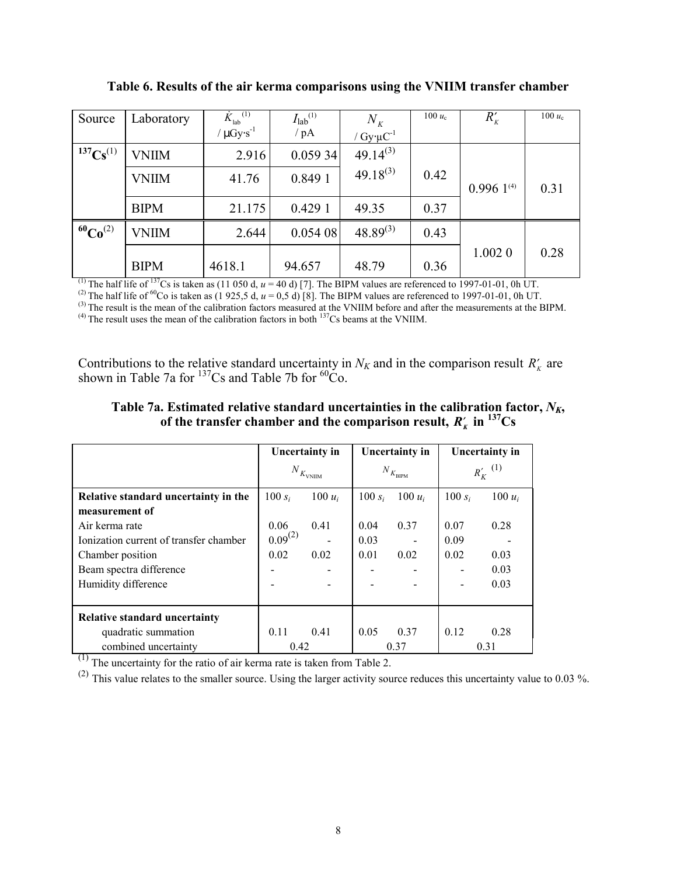| Source           | Laboratory   | ${\dot K}_{\rm lab}^{(1)}$ | $I_{\text{lab}}^{(1)}$ | $N_{K}$                 | 100 $u_c$ | $R'_{K}$       | 100 $u_c$ |
|------------------|--------------|----------------------------|------------------------|-------------------------|-----------|----------------|-----------|
|                  |              | $\mu$ Gy·s <sup>-1</sup>   | / pA                   | / $Gy \cdot \mu C^{-1}$ |           |                |           |
| $^{137}Cs^{(1)}$ | <b>VNIIM</b> | 2.916                      | 0.05934                | $49.14^{(3)}$           |           |                |           |
|                  | <b>VNIIM</b> | 41.76                      | 0.8491                 | $49.18^{(3)}$           | 0.42      | $0.9961^{(4)}$ | 0.31      |
|                  | <b>BIPM</b>  | 21.175                     | 0.4291                 | 49.35                   | 0.37      |                |           |
| $^{60}Co^{(2)}$  | <b>VNIIM</b> | 2.644                      | 0.05408                | $48.89^{(3)}$           | 0.43      |                |           |
|                  | <b>BIPM</b>  | 4618.1                     | 94.657                 | 48.79                   | 0.36      | 1.0020         | 0.28      |

**Table 6. Results of the air kerma comparisons using the VNIIM transfer chamber**

<sup>(1)</sup> The half life of  $137$ Cs is taken as (11 050 d,  $u = 40$  d) [7]. The BIPM values are referenced to 1997-01-01, 0h UT.

<sup>(2)</sup> The half life of <sup>60</sup>Co is taken as (1 925,5 d,  $u = 0.5$  d) [8]. The BIPM values are referenced to 1997-01-01, 0h UT.

<sup>(3)</sup> The result is the mean of the calibration factors measured at the VNIIM before and after the measurements at the BIPM.

 $^{(4)}$  The result uses the mean of the calibration factors in both  $^{137}$ Cs beams at the VNIIM.

Contributions to the relative standard uncertainty in  $N_K$  and in the comparison result  $R'_k$  are shown in Table 7a for  $137$ Cs and Table 7b for  $60C_0$ .

| Table 7a. Estimated relative standard uncertainties in the calibration factor, $N_{K_2}$ |
|------------------------------------------------------------------------------------------|
| of the transfer chamber and the comparison result, $R'_k$ in <sup>137</sup> Cs           |

|                                        | Uncertainty in       |           | Uncertainty in               |           | Uncertainty in            |           |  |
|----------------------------------------|----------------------|-----------|------------------------------|-----------|---------------------------|-----------|--|
|                                        | $N_{K_{\rm{VNIIM}}}$ |           | $N_{\mathrel{K_{\rm BIPM}}}$ |           | $R_K^{\prime\quad \ (1)}$ |           |  |
| Relative standard uncertainty in the   | 100 $s_i$            | 100 $u_i$ | 100 $s_i$                    | 100 $u_i$ | 100 $s_i$                 | 100 $u_i$ |  |
| measurement of                         |                      |           |                              |           |                           |           |  |
| Air kerma rate                         | 0.06                 | 0.41      | 0.04                         | 0.37      | 0.07                      | 0.28      |  |
| Ionization current of transfer chamber | $0.09^{(2)}$         |           | 0.03                         |           | 0.09                      |           |  |
| Chamber position                       | 0.02                 | 0.02      | 0.01                         | 0.02      | 0.02                      | 0.03      |  |
| Beam spectra difference                |                      |           |                              |           |                           | 0.03      |  |
| Humidity difference                    |                      |           |                              |           |                           | 0.03      |  |
|                                        |                      |           |                              |           |                           |           |  |
| <b>Relative standard uncertainty</b>   |                      |           |                              |           |                           |           |  |
| quadratic summation                    | 0.11                 | 0.41      | 0.05                         | 0.37      | 0.12                      | 0.28      |  |
| combined uncertainty                   | 0.42                 |           |                              | 0.37      |                           | 0.31      |  |

 $(1)$  The uncertainty for the ratio of air kerma rate is taken from Table 2.

 $(2)$  This value relates to the smaller source. Using the larger activity source reduces this uncertainty value to 0.03 %.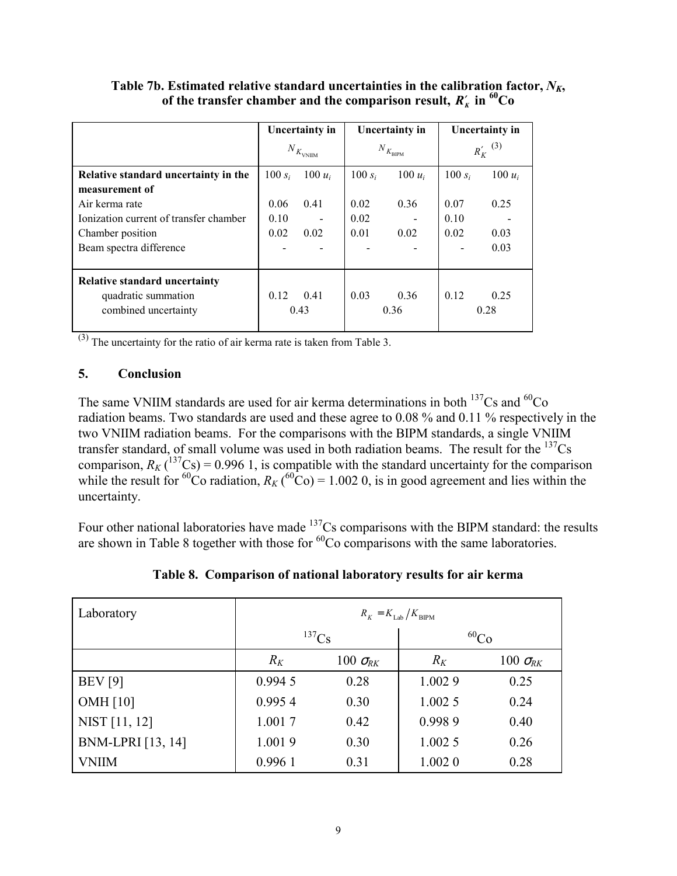|                                        | Uncertainty in |                                            | Uncertainty in                   |           | Uncertainty in |           |
|----------------------------------------|----------------|--------------------------------------------|----------------------------------|-----------|----------------|-----------|
|                                        |                | $N_{\ensuremath{K_\mathrm{VNIIM}}}\xspace$ | $N_{\mathit{K}_{\mathrm{BIPM}}}$ |           | $R_K'$ (3)     |           |
| Relative standard uncertainty in the   | 100 $s_i$      | $100 u_i$                                  | $100 s_i$                        | 100 $u_i$ | 100 $s_i$      | 100 $u_i$ |
| measurement of                         |                |                                            |                                  |           |                |           |
| Air kerma rate                         | 0.06           | 0.41                                       | 0.02                             | 0.36      | 0.07           | 0.25      |
| Ionization current of transfer chamber | 0.10           |                                            | 0.02                             |           | 0.10           |           |
| Chamber position                       | 0.02           | 0.02                                       | 0.01                             | 0.02      | 0.02           | 0.03      |
| Beam spectra difference                |                |                                            |                                  |           |                | 0.03      |
|                                        |                |                                            |                                  |           |                |           |
| <b>Relative standard uncertainty</b>   |                |                                            |                                  |           |                |           |
| quadratic summation                    | 0.12           | 0.41                                       | 0.03                             | 0.36      | 0.12           | 0.25      |
| combined uncertainty                   |                | 0.43                                       |                                  | 0.36      |                | 0.28      |
|                                        |                |                                            |                                  |           |                |           |

Table 7b. Estimated relative standard uncertainties in the calibration factor,  $N_K$ , **of the transfer chamber and the comparison result,**  $R'_{\kappa}$  **in**  ${}^{60}Co$ 

 $\frac{1}{(3)}$  The uncertainty for the ratio of air kerma rate is taken from Table 3.

#### **5. Conclusion**

The same VNIIM standards are used for air kerma determinations in both  $^{137}Cs$  and  $^{60}Co$ radiation beams. Two standards are used and these agree to 0.08 % and 0.11 % respectively in the two VNIIM radiation beams. For the comparisons with the BIPM standards, a single VNIIM transfer standard, of small volume was used in both radiation beams. The result for the 137Cs comparison,  $R_K$  (<sup>137</sup>Cs) = 0.996 1, is compatible with the standard uncertainty for the comparison while the result for <sup>60</sup>Co radiation,  $R_K$  (<sup>60</sup>Co) = 1.002 0, is in good agreement and lies within the uncertainty.

Four other national laboratories have made <sup>137</sup>Cs comparisons with the BIPM standard: the results are shown in Table 8 together with those for  ${}^{60}Co$  comparisons with the same laboratories.

| Laboratory        | $R_K = K_{\text{Lab}} / K_{\text{BIPM}}$ |                   |           |                     |  |  |
|-------------------|------------------------------------------|-------------------|-----------|---------------------|--|--|
|                   | $^{137}Cs$                               |                   | $^{60}Co$ |                     |  |  |
|                   | $R_K$                                    | 100 $\sigma_{RK}$ | $R_K$     | 100 $\sigma_{\!RK}$ |  |  |
| <b>BEV</b> [9]    | 0.9945                                   | 0.28              | 1.0029    | 0.25                |  |  |
| OMH $[10]$        | 0.9954                                   | 0.30              | 1.0025    | 0.24                |  |  |
| NIST [11, 12]     | 1.0017                                   | 0.42              | 0.9989    | 0.40                |  |  |
| BNM-LPRI [13, 14] | 1.0019                                   | 0.30              | 1.0025    | 0.26                |  |  |
| <b>VNIIM</b>      | 0.9961                                   | 0.31              | 1.0020    | 0.28                |  |  |

**Table 8. Comparison of national laboratory results for air kerma**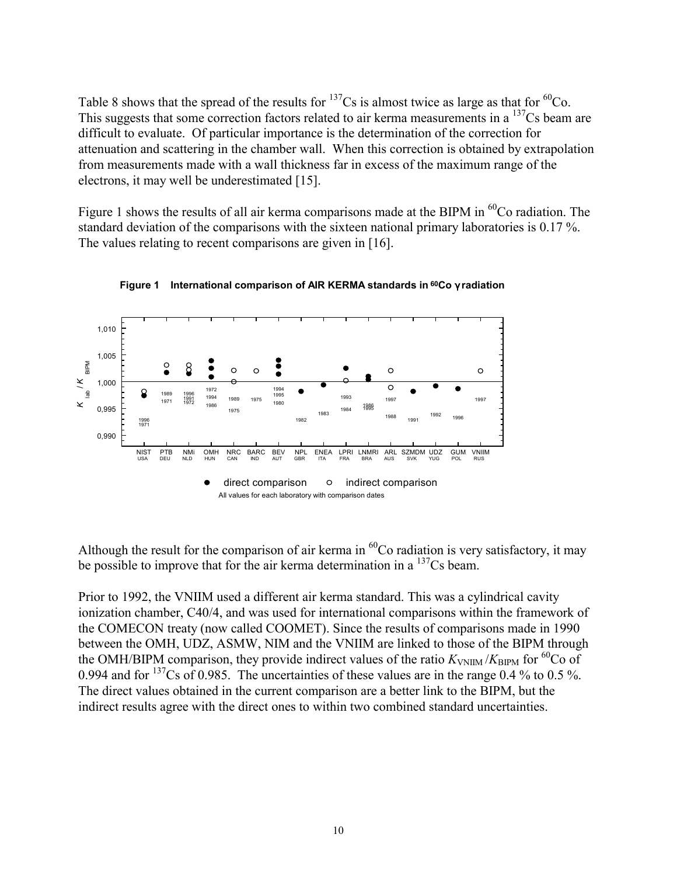Table 8 shows that the spread of the results for  $^{137}Cs$  is almost twice as large as that for  $^{60}Co$ . This suggests that some correction factors related to air kerma measurements in a <sup>137</sup>Cs beam are difficult to evaluate. Of particular importance is the determination of the correction for attenuation and scattering in the chamber wall. When this correction is obtained by extrapolation from measurements made with a wall thickness far in excess of the maximum range of the electrons, it may well be underestimated [15].

Figure 1 shows the results of all air kerma comparisons made at the BIPM in  ${}^{60}Co$  radiation. The standard deviation of the comparisons with the sixteen national primary laboratories is 0.17 %. The values relating to recent comparisons are given in [16].





Although the result for the comparison of air kerma in  ${}^{60}$ Co radiation is very satisfactory, it may be possible to improve that for the air kerma determination in a  $\frac{137}{3}$ Cs beam.

Prior to 1992, the VNIIM used a different air kerma standard. This was a cylindrical cavity ionization chamber, C40/4, and was used for international comparisons within the framework of the COMECON treaty (now called COOMET). Since the results of comparisons made in 1990 between the OMH, UDZ, ASMW, NIM and the VNIIM are linked to those of the BIPM through the OMH/BIPM comparison, they provide indirect values of the ratio  $K_{\text{VNIIM}}/K_{\text{RIPM}}$  for <sup>60</sup>Co of 0.994 and for  $^{137}Cs$  of 0.985. The uncertainties of these values are in the range 0.4 % to 0.5 %. The direct values obtained in the current comparison are a better link to the BIPM, but the indirect results agree with the direct ones to within two combined standard uncertainties.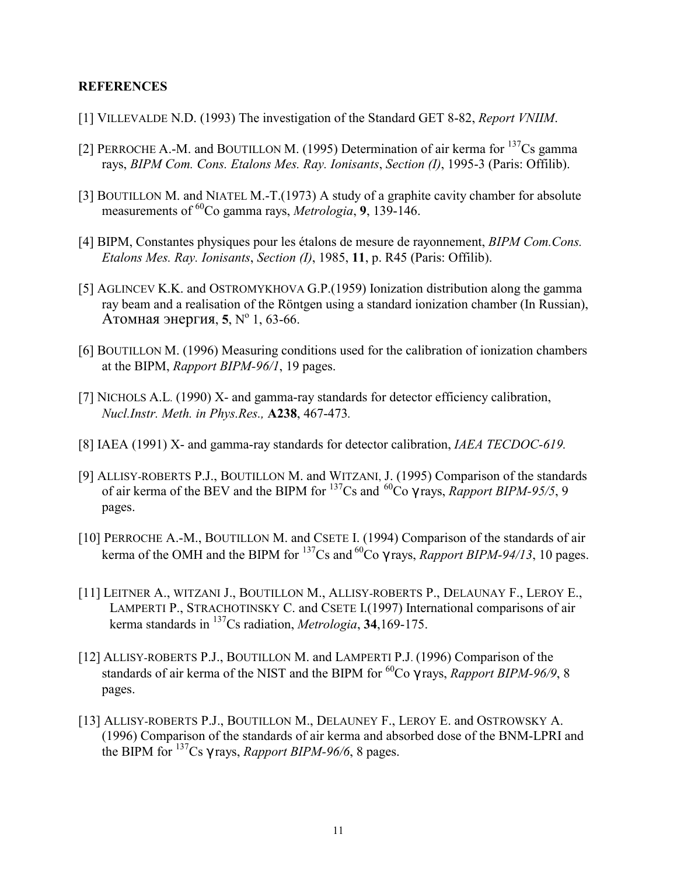#### **REFERENCES**

- [1] VILLEVALDE N.D. (1993) The investigation of the Standard GET 8-82, *Report VNIIM*.
- [2] PERROCHE A.-M. and BOUTILLON M. (1995) Determination of air kerma for <sup>137</sup>Cs gamma rays, *BIPM Com. Cons. Etalons Mes. Ray. Ionisants*, *Section (I)*, 1995-3 (Paris: Offilib).
- [3] BOUTILLON M. and NIATEL M.-T.(1973) A study of a graphite cavity chamber for absolute measurements of 60Co gamma rays, *Metrologia*, **9**, 139-146.
- [4] BIPM, Constantes physiques pour les Ètalons de mesure de rayonnement, *BIPM Com.Cons. Etalons Mes. Ray. Ionisants*, *Section (I)*, 1985, **11**, p. R45 (Paris: Offilib).
- [5] AGLINCEV K.K. and OSTROMYKHOVA G.P.(1959) Ionization distribution along the gamma ray beam and a realisation of the Röntgen using a standard ionization chamber (In Russian). Атомная энергия, 5, Nº 1, 63-66.
- [6] BOUTILLON M. (1996) Measuring conditions used for the calibration of ionization chambers at the BIPM, *Rapport BIPM-96/1*, 19 pages.
- [7] NICHOLS A.L. (1990) X- and gamma-ray standards for detector efficiency calibration, *Nucl.Instr. Meth. in Phys.Res.,* **A238**, 467-473*.*
- [8] IAEA (1991) X- and gamma-ray standards for detector calibration, *IAEA TECDOC-619.*
- [9] ALLISY-ROBERTS P.J., BOUTILLON M. and WITZANI, J. (1995) Comparison of the standards of air kerma of the BEV and the BIPM for 137Cs and 60Co γ rays, *Rapport BIPM-95/5*, 9 pages.
- [10] PERROCHE A.-M., BOUTILLON M. and CSETE I. (1994) Comparison of the standards of air kerma of the OMH and the BIPM for  $^{137}Cs$  and  $^{60}Co$   $\gamma$  rays, *Rapport BIPM-94/13*, 10 pages.
- [11] LEITNER A., WITZANI J., BOUTILLON M., ALLISY-ROBERTS P., DELAUNAY F., LEROY E., LAMPERTI P., STRACHOTINSKY C. and CSETE I.(1997) International comparisons of air kerma standards in 137Cs radiation, *Metrologia*, **34**,169-175.
- [12] ALLISY-ROBERTS P.J., BOUTILLON M. and LAMPERTI P.J. (1996) Comparison of the standards of air kerma of the NIST and the BIPM for 60Co γ rays, *Rapport BIPM-96/9*, 8 pages.
- [13] ALLISY-ROBERTS P.J., BOUTILLON M., DELAUNEY F., LEROY E. and OSTROWSKY A. (1996) Comparison of the standards of air kerma and absorbed dose of the BNM-LPRI and the BIPM for 137Cs γ rays, *Rapport BIPM-96/6*, 8 pages.